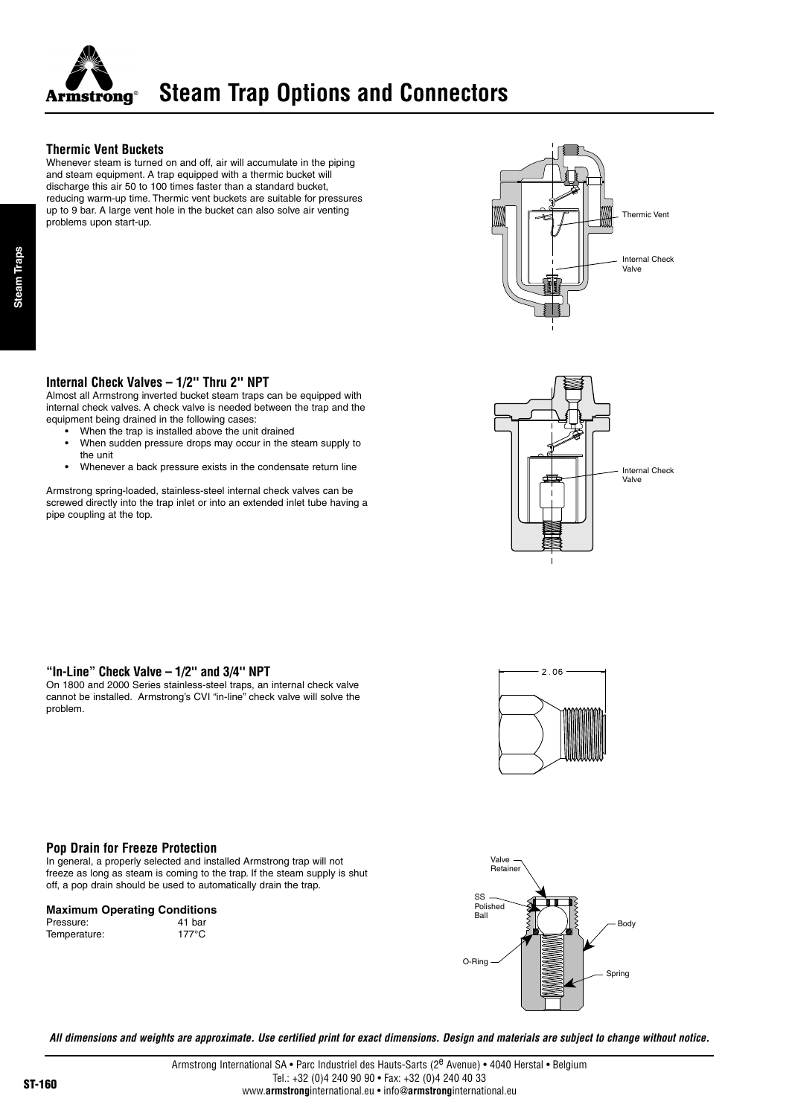

### **Thermic Vent Buckets**

Whenever steam is turned on and off, air will accumulate in the piping and steam equipment. A trap equipped with a thermic bucket will discharge this air 50 to 100 times faster than a standard bucket, reducing warm-up time. Thermic vent buckets are suitable for pressures up to 9 bar. A large vent hole in the bucket can also solve air venting problems upon start-up.



# **Internal Check Valves – 1/2'' Thru 2'' NPT**

Almost all Armstrong inverted bucket steam traps can be equipped with internal check valves. A check valve is needed between the trap and the equipment being drained in the following cases:

- When the trap is installed above the unit drained
- When sudden pressure drops may occur in the steam supply to the unit
- Whenever a back pressure exists in the condensate return line

Armstrong spring-loaded, stainless-steel internal check valves can be screwed directly into the trap inlet or into an extended inlet tube having a pipe coupling at the top.



# **"In-Line" Check Valve – 1/2'' and 3/4'' NPT**

On 1800 and 2000 Series stainless-steel traps, an internal check valve cannot be installed. Armstrong's CVI "in-line" check valve will solve the problem.



#### **Pop Drain for Freeze Protection**

In general, a properly selected and installed Armstrong trap will not freeze as long as steam is coming to the trap. If the steam supply is shut off, a pop drain should be used to automatically drain the trap.

#### **Maximum Operating Conditions**

Pressure: 41 bar<br>Temperature: 41 bar Temperature:



**All dimensions and weights are approximate. Use certified print for exact dimensions. Design and materials are subject to change without notice.**